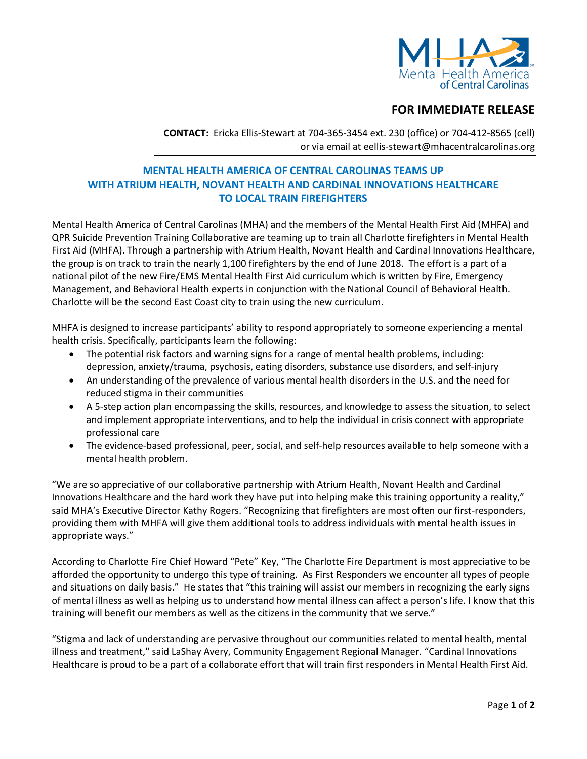

## **FOR IMMEDIATE RELEASE**

**CONTACT:** Ericka Ellis-Stewart at 704-365-3454 ext. 230 (office) or 704-412-8565 (cell) or via email at eellis-stewart@mhacentralcarolinas.org

## **MENTAL HEALTH AMERICA OF CENTRAL CAROLINAS TEAMS UP WITH ATRIUM HEALTH, NOVANT HEALTH AND CARDINAL INNOVATIONS HEALTHCARE TO LOCAL TRAIN FIREFIGHTERS**

Mental Health America of Central Carolinas (MHA) and the members of the Mental Health First Aid (MHFA) and QPR Suicide Prevention Training Collaborative are teaming up to train all Charlotte firefighters in Mental Health First Aid (MHFA). Through a partnership with Atrium Health, Novant Health and Cardinal Innovations Healthcare, the group is on track to train the nearly 1,100 firefighters by the end of June 2018. The effort is a part of a national pilot of the new Fire/EMS Mental Health First Aid curriculum which is written by Fire, Emergency Management, and Behavioral Health experts in conjunction with the National Council of Behavioral Health. Charlotte will be the second East Coast city to train using the new curriculum.

MHFA is designed to increase participants' ability to respond appropriately to someone experiencing a mental health crisis. Specifically, participants learn the following:

- The potential risk factors and warning signs for a range of mental health problems, including: depression, anxiety/trauma, psychosis, eating disorders, substance use disorders, and self-injury
- An understanding of the prevalence of various mental health disorders in the U.S. and the need for reduced stigma in their communities
- A 5-step action plan encompassing the skills, resources, and knowledge to assess the situation, to select and implement appropriate interventions, and to help the individual in crisis connect with appropriate professional care
- The evidence-based professional, peer, social, and self-help resources available to help someone with a mental health problem.

"We are so appreciative of our collaborative partnership with Atrium Health, Novant Health and Cardinal Innovations Healthcare and the hard work they have put into helping make this training opportunity a reality," said MHA's Executive Director Kathy Rogers. "Recognizing that firefighters are most often our first-responders, providing them with MHFA will give them additional tools to address individuals with mental health issues in appropriate ways."

According to Charlotte Fire Chief Howard "Pete" Key, "The Charlotte Fire Department is most appreciative to be afforded the opportunity to undergo this type of training. As First Responders we encounter all types of people and situations on daily basis." He states that "this training will assist our members in recognizing the early signs of mental illness as well as helping us to understand how mental illness can affect a person's life. I know that this training will benefit our members as well as the citizens in the community that we serve."

"Stigma and lack of understanding are pervasive throughout our communities related to mental health, mental illness and treatment," said LaShay Avery, Community Engagement Regional Manager. "Cardinal Innovations Healthcare is proud to be a part of a collaborate effort that will train first responders in Mental Health First Aid.